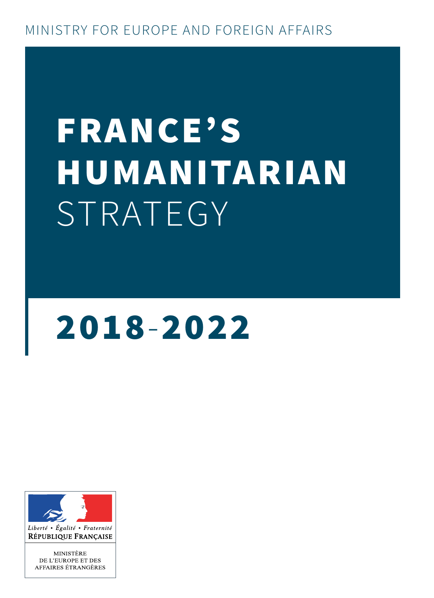# FRANCE'S HUMANITARIAN STRATEGY

# 2018-2022



Liberté • Égalité • Fraternité RÉPUBLIQUE FRANÇAISE

MINISTÈRE DE L'EUROPE ET DES AFFAIRES ÉTRANGÈRES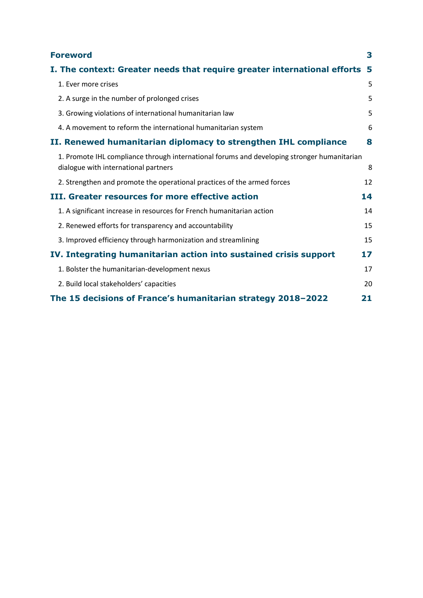| <b>Foreword</b>                                                                                                                     | 3   |
|-------------------------------------------------------------------------------------------------------------------------------------|-----|
| I. The context: Greater needs that require greater international efforts                                                            | - 5 |
| 1. Ever more crises                                                                                                                 | 5   |
| 2. A surge in the number of prolonged crises                                                                                        | 5   |
| 3. Growing violations of international humanitarian law                                                                             | 5   |
| 4. A movement to reform the international humanitarian system                                                                       | 6   |
| II. Renewed humanitarian diplomacy to strengthen IHL compliance                                                                     | 8   |
| 1. Promote IHL compliance through international forums and developing stronger humanitarian<br>dialogue with international partners | 8   |
| 2. Strengthen and promote the operational practices of the armed forces                                                             | 12  |
| III. Greater resources for more effective action                                                                                    | 14  |
| 1. A significant increase in resources for French humanitarian action                                                               | 14  |
| 2. Renewed efforts for transparency and accountability                                                                              | 15  |
| 3. Improved efficiency through harmonization and streamlining                                                                       | 15  |
| IV. Integrating humanitarian action into sustained crisis support                                                                   | 17  |
| 1. Bolster the humanitarian-development nexus                                                                                       | 17  |
| 2. Build local stakeholders' capacities                                                                                             | 20  |
| The 15 decisions of France's humanitarian strategy 2018-2022                                                                        | 21  |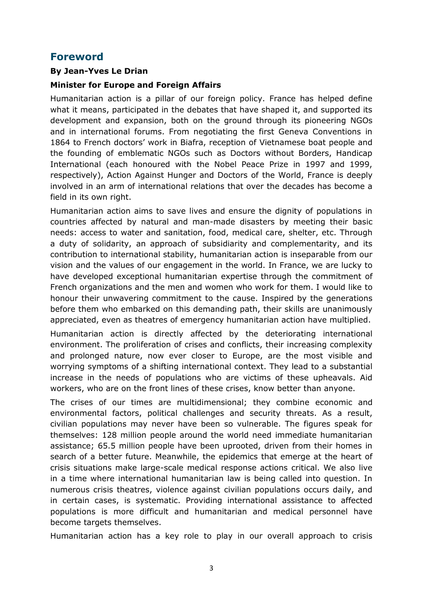### <span id="page-2-0"></span>**Foreword**

#### **By Jean-Yves Le Drian**

#### **Minister for Europe and Foreign Affairs**

Humanitarian action is a pillar of our foreign policy. France has helped define what it means, participated in the debates that have shaped it, and supported its development and expansion, both on the ground through its pioneering NGOs and in international forums. From negotiating the first Geneva Conventions in 1864 to French doctors' work in Biafra, reception of Vietnamese boat people and the founding of emblematic NGOs such as Doctors without Borders, Handicap International (each honoured with the Nobel Peace Prize in 1997 and 1999, respectively), Action Against Hunger and Doctors of the World, France is deeply involved in an arm of international relations that over the decades has become a field in its own right.

Humanitarian action aims to save lives and ensure the dignity of populations in countries affected by natural and man-made disasters by meeting their basic needs: access to water and sanitation, food, medical care, shelter, etc. Through a duty of solidarity, an approach of subsidiarity and complementarity, and its contribution to international stability, humanitarian action is inseparable from our vision and the values of our engagement in the world. In France, we are lucky to have developed exceptional humanitarian expertise through the commitment of French organizations and the men and women who work for them. I would like to honour their unwavering commitment to the cause. Inspired by the generations before them who embarked on this demanding path, their skills are unanimously appreciated, even as theatres of emergency humanitarian action have multiplied.

Humanitarian action is directly affected by the deteriorating international environment. The proliferation of crises and conflicts, their increasing complexity and prolonged nature, now ever closer to Europe, are the most visible and worrying symptoms of a shifting international context. They lead to a substantial increase in the needs of populations who are victims of these upheavals. Aid workers, who are on the front lines of these crises, know better than anyone.

The crises of our times are multidimensional; they combine economic and environmental factors, political challenges and security threats. As a result, civilian populations may never have been so vulnerable. The figures speak for themselves: 128 million people around the world need immediate humanitarian assistance; 65.5 million people have been uprooted, driven from their homes in search of a better future. Meanwhile, the epidemics that emerge at the heart of crisis situations make large-scale medical response actions critical. We also live in a time where international humanitarian law is being called into question. In numerous crisis theatres, violence against civilian populations occurs daily, and in certain cases, is systematic. Providing international assistance to affected populations is more difficult and humanitarian and medical personnel have become targets themselves.

Humanitarian action has a key role to play in our overall approach to crisis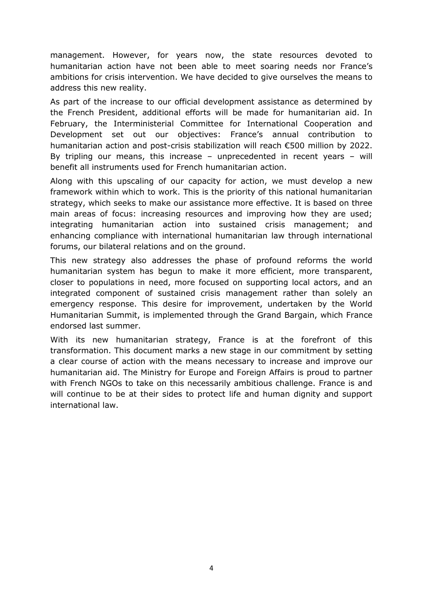management. However, for years now, the state resources devoted to humanitarian action have not been able to meet soaring needs nor France's ambitions for crisis intervention. We have decided to give ourselves the means to address this new reality.

As part of the increase to our official development assistance as determined by the French President, additional efforts will be made for humanitarian aid. In February, the Interministerial Committee for International Cooperation and Development set out our objectives: France's annual contribution to humanitarian action and post-crisis stabilization will reach €500 million by 2022. By tripling our means, this increase – unprecedented in recent years – will benefit all instruments used for French humanitarian action.

Along with this upscaling of our capacity for action, we must develop a new framework within which to work. This is the priority of this national humanitarian strategy, which seeks to make our assistance more effective. It is based on three main areas of focus: increasing resources and improving how they are used; integrating humanitarian action into sustained crisis management; and enhancing compliance with international humanitarian law through international forums, our bilateral relations and on the ground.

This new strategy also addresses the phase of profound reforms the world humanitarian system has begun to make it more efficient, more transparent, closer to populations in need, more focused on supporting local actors, and an integrated component of sustained crisis management rather than solely an emergency response. This desire for improvement, undertaken by the World Humanitarian Summit, is implemented through the Grand Bargain, which France endorsed last summer.

With its new humanitarian strategy, France is at the forefront of this transformation. This document marks a new stage in our commitment by setting a clear course of action with the means necessary to increase and improve our humanitarian aid. The Ministry for Europe and Foreign Affairs is proud to partner with French NGOs to take on this necessarily ambitious challenge. France is and will continue to be at their sides to protect life and human dignity and support international law.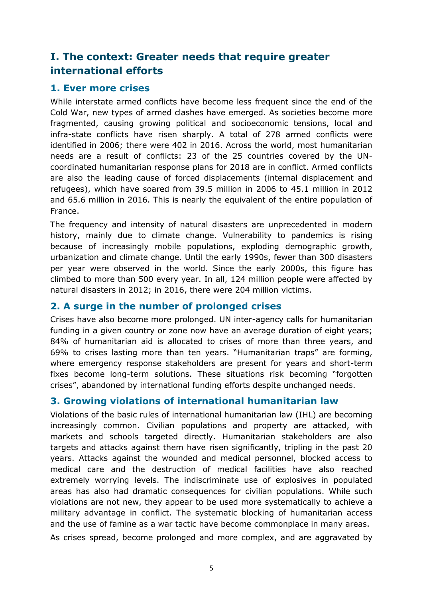# <span id="page-4-0"></span>**I. The context: Greater needs that require greater international efforts**

#### <span id="page-4-1"></span>**1. Ever more crises**

While interstate armed conflicts have become less frequent since the end of the Cold War, new types of armed clashes have emerged. As societies become more fragmented, causing growing political and socioeconomic tensions, local and infra-state conflicts have risen sharply. A total of 278 armed conflicts were identified in 2006; there were 402 in 2016. Across the world, most humanitarian needs are a result of conflicts: 23 of the 25 countries covered by the UNcoordinated humanitarian response plans for 2018 are in conflict. Armed conflicts are also the leading cause of forced displacements (internal displacement and refugees), which have soared from 39.5 million in 2006 to 45.1 million in 2012 and 65.6 million in 2016. This is nearly the equivalent of the entire population of France.

The frequency and intensity of natural disasters are unprecedented in modern history, mainly due to climate change. Vulnerability to pandemics is rising because of increasingly mobile populations, exploding demographic growth, urbanization and climate change. Until the early 1990s, fewer than 300 disasters per year were observed in the world. Since the early 2000s, this figure has climbed to more than 500 every year. In all, 124 million people were affected by natural disasters in 2012; in 2016, there were 204 million victims.

#### <span id="page-4-2"></span>**2. A surge in the number of prolonged crises**

Crises have also become more prolonged. UN inter-agency calls for humanitarian funding in a given country or zone now have an average duration of eight years; 84% of humanitarian aid is allocated to crises of more than three years, and 69% to crises lasting more than ten years. "Humanitarian traps" are forming, where emergency response stakeholders are present for years and short-term fixes become long-term solutions. These situations risk becoming "forgotten crises", abandoned by international funding efforts despite unchanged needs.

#### <span id="page-4-3"></span>**3. Growing violations of international humanitarian law**

Violations of the basic rules of international humanitarian law (IHL) are becoming increasingly common. Civilian populations and property are attacked, with markets and schools targeted directly. Humanitarian stakeholders are also targets and attacks against them have risen significantly, tripling in the past 20 years. Attacks against the wounded and medical personnel, blocked access to medical care and the destruction of medical facilities have also reached extremely worrying levels. The indiscriminate use of explosives in populated areas has also had dramatic consequences for civilian populations. While such violations are not new, they appear to be used more systematically to achieve a military advantage in conflict. The systematic blocking of humanitarian access and the use of famine as a war tactic have become commonplace in many areas.

As crises spread, become prolonged and more complex, and are aggravated by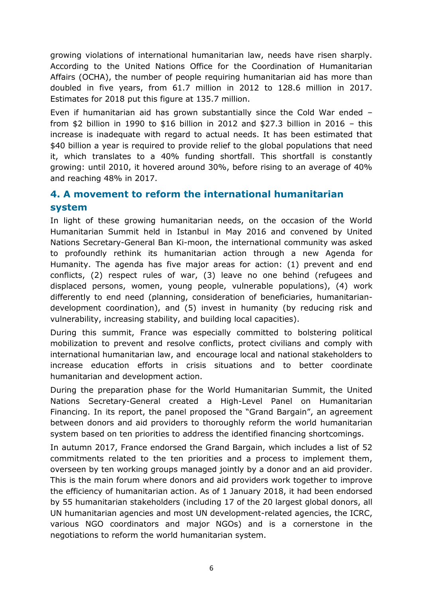growing violations of international humanitarian law, needs have risen sharply. According to the United Nations Office for the Coordination of Humanitarian Affairs (OCHA), the number of people requiring humanitarian aid has more than doubled in five years, from 61.7 million in 2012 to 128.6 million in 2017. Estimates for 2018 put this figure at 135.7 million.

Even if humanitarian aid has grown substantially since the Cold War ended – from \$2 billion in 1990 to \$16 billion in 2012 and \$27.3 billion in 2016 – this increase is inadequate with regard to actual needs. It has been estimated that \$40 billion a year is required to provide relief to the global populations that need it, which translates to a 40% funding shortfall. This shortfall is constantly growing: until 2010, it hovered around 30%, before rising to an average of 40% and reaching 48% in 2017.

# <span id="page-5-0"></span>**4. A movement to reform the international humanitarian system**

In light of these growing humanitarian needs, on the occasion of the World Humanitarian Summit held in Istanbul in May 2016 and convened by United Nations Secretary-General Ban Ki-moon, the international community was asked to profoundly rethink its humanitarian action through a new Agenda for Humanity. The agenda has five major areas for action: (1) prevent and end conflicts, (2) respect rules of war, (3) leave no one behind (refugees and displaced persons, women, young people, vulnerable populations), (4) work differently to end need (planning, consideration of beneficiaries, humanitariandevelopment coordination), and (5) invest in humanity (by reducing risk and vulnerability, increasing stability, and building local capacities).

During this summit, France was especially committed to bolstering political mobilization to prevent and resolve conflicts, protect civilians and comply with international humanitarian law, and encourage local and national stakeholders to increase education efforts in crisis situations and to better coordinate humanitarian and development action.

During the preparation phase for the World Humanitarian Summit, the United Nations Secretary-General created a High-Level Panel on Humanitarian Financing. In its report, the panel proposed the "Grand Bargain", an agreement between donors and aid providers to thoroughly reform the world humanitarian system based on ten priorities to address the identified financing shortcomings.

In autumn 2017, France endorsed the Grand Bargain, which includes a list of 52 commitments related to the ten priorities and a process to implement them, overseen by ten working groups managed jointly by a donor and an aid provider. This is the main forum where donors and aid providers work together to improve the efficiency of humanitarian action. As of 1 January 2018, it had been endorsed by 55 humanitarian stakeholders (including 17 of the 20 largest global donors, all UN humanitarian agencies and most UN development-related agencies, the ICRC, various NGO coordinators and major NGOs) and is a cornerstone in the negotiations to reform the world humanitarian system.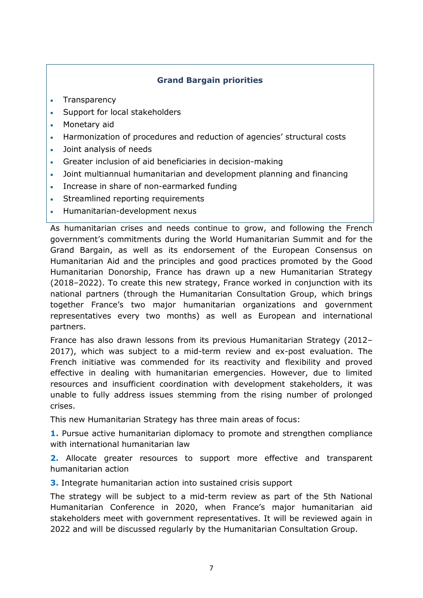#### **Grand Bargain priorities**

- Transparency
- Support for local stakeholders
- Monetary aid
- Harmonization of procedures and reduction of agencies' structural costs
- Joint analysis of needs
- Greater inclusion of aid beneficiaries in decision-making
- Joint multiannual humanitarian and development planning and financing
- Increase in share of non-earmarked funding
- Streamlined reporting requirements
- Humanitarian-development nexus

As humanitarian crises and needs continue to grow, and following the French government's commitments during the World Humanitarian Summit and for the Grand Bargain, as well as its endorsement of the European Consensus on Humanitarian Aid and the principles and good practices promoted by the Good Humanitarian Donorship, France has drawn up a new Humanitarian Strategy (2018–2022). To create this new strategy, France worked in conjunction with its national partners (through the Humanitarian Consultation Group, which brings together France's two major humanitarian organizations and government representatives every two months) as well as European and international partners.

France has also drawn lessons from its previous Humanitarian Strategy (2012– 2017), which was subject to a mid-term review and ex-post evaluation. The French initiative was commended for its reactivity and flexibility and proved effective in dealing with humanitarian emergencies. However, due to limited resources and insufficient coordination with development stakeholders, it was unable to fully address issues stemming from the rising number of prolonged crises.

This new Humanitarian Strategy has three main areas of focus:

**1.** Pursue active humanitarian diplomacy to promote and strengthen compliance with international humanitarian law

**2.** Allocate greater resources to support more effective and transparent humanitarian action

**3.** Integrate humanitarian action into sustained crisis support

The strategy will be subject to a mid-term review as part of the 5th National Humanitarian Conference in 2020, when France's major humanitarian aid stakeholders meet with government representatives. It will be reviewed again in 2022 and will be discussed regularly by the Humanitarian Consultation Group.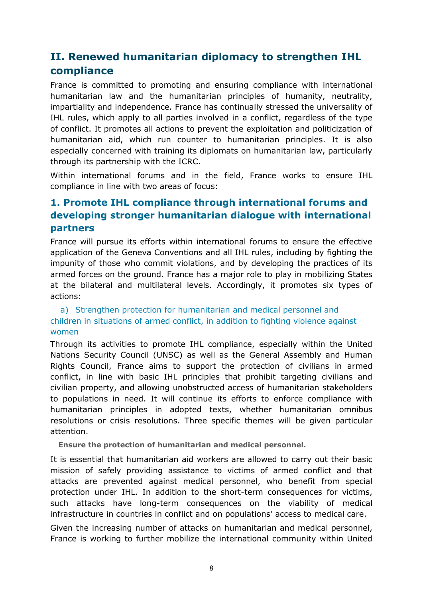# <span id="page-7-0"></span>**II. Renewed humanitarian diplomacy to strengthen IHL compliance**

France is committed to promoting and ensuring compliance with international humanitarian law and the humanitarian principles of humanity, neutrality, impartiality and independence. France has continually stressed the universality of IHL rules, which apply to all parties involved in a conflict, regardless of the type of conflict. It promotes all actions to prevent the exploitation and politicization of humanitarian aid, which run counter to humanitarian principles. It is also especially concerned with training its diplomats on humanitarian law, particularly through its partnership with the ICRC.

Within international forums and in the field, France works to ensure IHL compliance in line with two areas of focus:

# <span id="page-7-1"></span>**1. Promote IHL compliance through international forums and developing stronger humanitarian dialogue with international partners**

France will pursue its efforts within international forums to ensure the effective application of the Geneva Conventions and all IHL rules, including by fighting the impunity of those who commit violations, and by developing the practices of its armed forces on the ground. France has a major role to play in mobilizing States at the bilateral and multilateral levels. Accordingly, it promotes six types of actions:

#### a) Strengthen protection for humanitarian and medical personnel and children in situations of armed conflict, in addition to fighting violence against women

Through its activities to promote IHL compliance, especially within the United Nations Security Council (UNSC) as well as the General Assembly and Human Rights Council, France aims to support the protection of civilians in armed conflict, in line with basic IHL principles that prohibit targeting civilians and civilian property, and allowing unobstructed access of humanitarian stakeholders to populations in need. It will continue its efforts to enforce compliance with humanitarian principles in adopted texts, whether humanitarian omnibus resolutions or crisis resolutions. Three specific themes will be given particular attention.

**Ensure the protection of humanitarian and medical personnel.** 

It is essential that humanitarian aid workers are allowed to carry out their basic mission of safely providing assistance to victims of armed conflict and that attacks are prevented against medical personnel, who benefit from special protection under IHL. In addition to the short-term consequences for victims, such attacks have long-term consequences on the viability of medical infrastructure in countries in conflict and on populations' access to medical care.

Given the increasing number of attacks on humanitarian and medical personnel, France is working to further mobilize the international community within United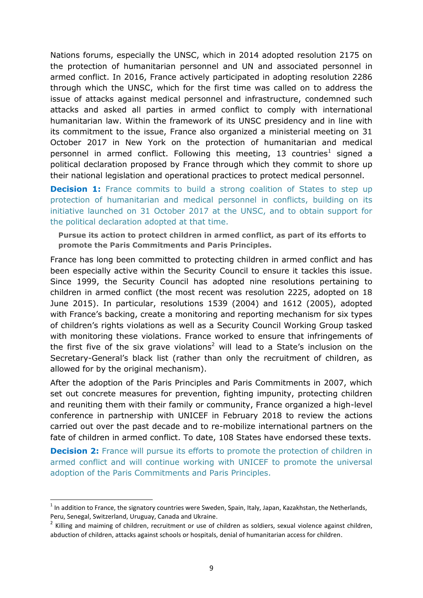Nations forums, especially the UNSC, which in 2014 adopted resolution 2175 on the protection of humanitarian personnel and UN and associated personnel in armed conflict. In 2016, France actively participated in adopting resolution 2286 through which the UNSC, which for the first time was called on to address the issue of attacks against medical personnel and infrastructure, condemned such attacks and asked all parties in armed conflict to comply with international humanitarian law. Within the framework of its UNSC presidency and in line with its commitment to the issue, France also organized a ministerial meeting on 31 October 2017 in New York on the protection of humanitarian and medical personnel in armed conflict. Following this meeting, 13 countries<sup>1</sup> signed a political declaration proposed by France through which they commit to shore up their national legislation and operational practices to protect medical personnel.

**Decision 1:** France commits to build a strong coalition of States to step up protection of humanitarian and medical personnel in conflicts, building on its initiative launched on 31 October 2017 at the UNSC, and to obtain support for the political declaration adopted at that time.

**Pursue its action to protect children in armed conflict, as part of its efforts to promote the Paris Commitments and Paris Principles.** 

France has long been committed to protecting children in armed conflict and has been especially active within the Security Council to ensure it tackles this issue. Since 1999, the Security Council has adopted nine resolutions pertaining to children in armed conflict (the most recent was resolution 2225, adopted on 18 June 2015). In particular, resolutions 1539 (2004) and 1612 (2005), adopted with France's backing, create a monitoring and reporting mechanism for six types of children's rights violations as well as a Security Council Working Group tasked with monitoring these violations. France worked to ensure that infringements of the first five of the six grave violations<sup>2</sup> will lead to a State's inclusion on the Secretary-General's black list (rather than only the recruitment of children, as allowed for by the original mechanism).

After the adoption of the Paris Principles and Paris Commitments in 2007, which set out concrete measures for prevention, fighting impunity, protecting children and reuniting them with their family or community, France organized a high-level conference in partnership with UNICEF in February 2018 to review the actions carried out over the past decade and to re-mobilize international partners on the fate of children in armed conflict. To date, 108 States have endorsed these texts.

**Decision 2:** France will pursue its efforts to promote the protection of children in armed conflict and will continue working with UNICEF to promote the universal adoption of the Paris Commitments and Paris Principles.

 $\overline{a}$ 

 $1$  In addition to France, the signatory countries were Sweden, Spain, Italy, Japan, Kazakhstan, the Netherlands, Peru, Senegal, Switzerland, Uruguay, Canada and Ukraine.

<sup>&</sup>lt;sup>2</sup> Killing and maiming of children, recruitment or use of children as soldiers, sexual violence against children, abduction of children, attacks against schools or hospitals, denial of humanitarian access for children.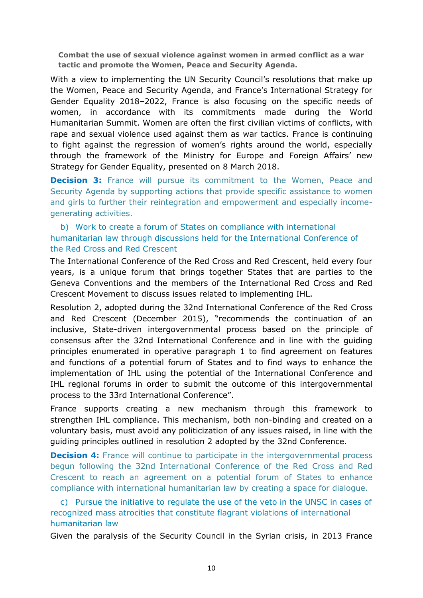**Combat the use of sexual violence against women in armed conflict as a war tactic and promote the Women, Peace and Security Agenda.**

With a view to implementing the UN Security Council's resolutions that make up the Women, Peace and Security Agenda, and France's International Strategy for Gender Equality 2018–2022, France is also focusing on the specific needs of women, in accordance with its commitments made during the World Humanitarian Summit. Women are often the first civilian victims of conflicts, with rape and sexual violence used against them as war tactics. France is continuing to fight against the regression of women's rights around the world, especially through the framework of the Ministry for Europe and Foreign Affairs' new Strategy for Gender Equality, presented on 8 March 2018.

**Decision 3:** France will pursue its commitment to the Women, Peace and Security Agenda by supporting actions that provide specific assistance to women and girls to further their reintegration and empowerment and especially incomegenerating activities.

b) Work to create a forum of States on compliance with international humanitarian law through discussions held for the International Conference of the Red Cross and Red Crescent

The International Conference of the Red Cross and Red Crescent, held every four years, is a unique forum that brings together States that are parties to the Geneva Conventions and the members of the International Red Cross and Red Crescent Movement to discuss issues related to implementing IHL.

Resolution 2, adopted during the 32nd International Conference of the Red Cross and Red Crescent (December 2015), "recommends the continuation of an inclusive, State-driven intergovernmental process based on the principle of consensus after the 32nd International Conference and in line with the guiding principles enumerated in operative paragraph 1 to find agreement on features and functions of a potential forum of States and to find ways to enhance the implementation of IHL using the potential of the International Conference and IHL regional forums in order to submit the outcome of this intergovernmental process to the 33rd International Conference".

France supports creating a new mechanism through this framework to strengthen IHL compliance. This mechanism, both non-binding and created on a voluntary basis, must avoid any politicization of any issues raised, in line with the guiding principles outlined in resolution 2 adopted by the 32nd Conference.

**Decision 4:** France will continue to participate in the intergovernmental process begun following the 32nd International Conference of the Red Cross and Red Crescent to reach an agreement on a potential forum of States to enhance compliance with international humanitarian law by creating a space for dialogue.

c) Pursue the initiative to regulate the use of the veto in the UNSC in cases of recognized mass atrocities that constitute flagrant violations of international humanitarian law

Given the paralysis of the Security Council in the Syrian crisis, in 2013 France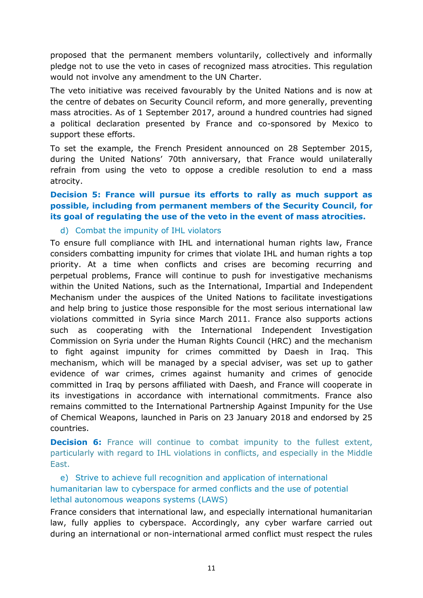proposed that the permanent members voluntarily, collectively and informally pledge not to use the veto in cases of recognized mass atrocities. This regulation would not involve any amendment to the UN Charter.

The veto initiative was received favourably by the United Nations and is now at the centre of debates on Security Council reform, and more generally, preventing mass atrocities. As of 1 September 2017, around a hundred countries had signed a political declaration presented by France and co-sponsored by Mexico to support these efforts.

To set the example, the French President announced on 28 September 2015, during the United Nations' 70th anniversary, that France would unilaterally refrain from using the veto to oppose a credible resolution to end a mass atrocity.

#### **Decision 5: France will pursue its efforts to rally as much support as possible, including from permanent members of the Security Council, for its goal of regulating the use of the veto in the event of mass atrocities.**

#### d) Combat the impunity of IHL violators

To ensure full compliance with IHL and international human rights law, France considers combatting impunity for crimes that violate IHL and human rights a top priority. At a time when conflicts and crises are becoming recurring and perpetual problems, France will continue to push for investigative mechanisms within the United Nations, such as the International, Impartial and Independent Mechanism under the auspices of the United Nations to facilitate investigations and help bring to justice those responsible for the most serious international law violations committed in Syria since March 2011. France also supports actions such as cooperating with the International Independent Investigation Commission on Syria under the Human Rights Council (HRC) and the mechanism to fight against impunity for crimes committed by Daesh in Iraq. This mechanism, which will be managed by a special adviser, was set up to gather evidence of war crimes, crimes against humanity and crimes of genocide committed in Iraq by persons affiliated with Daesh, and France will cooperate in its investigations in accordance with international commitments. France also remains committed to the International Partnership Against Impunity for the Use of Chemical Weapons, launched in Paris on 23 January 2018 and endorsed by 25 countries.

**Decision 6:** France will continue to combat impunity to the fullest extent, particularly with regard to IHL violations in conflicts, and especially in the Middle East.

e) Strive to achieve full recognition and application of international humanitarian law to cyberspace for armed conflicts and the use of potential lethal autonomous weapons systems (LAWS)

France considers that international law, and especially international humanitarian law, fully applies to cyberspace. Accordingly, any cyber warfare carried out during an international or non-international armed conflict must respect the rules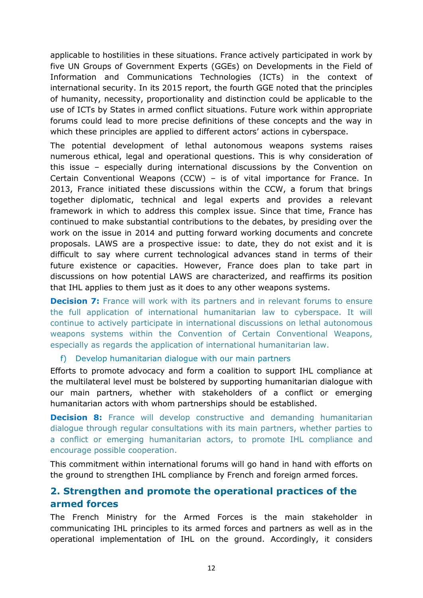applicable to hostilities in these situations. France actively participated in work by five UN Groups of Government Experts (GGEs) on Developments in the Field of Information and Communications Technologies (ICTs) in the context of international security. In its 2015 report, the fourth GGE noted that the principles of humanity, necessity, proportionality and distinction could be applicable to the use of ICTs by States in armed conflict situations. Future work within appropriate forums could lead to more precise definitions of these concepts and the way in which these principles are applied to different actors' actions in cyberspace.

The potential development of lethal autonomous weapons systems raises numerous ethical, legal and operational questions. This is why consideration of this issue – especially during international discussions by the Convention on Certain Conventional Weapons (CCW) – is of vital importance for France. In 2013, France initiated these discussions within the CCW, a forum that brings together diplomatic, technical and legal experts and provides a relevant framework in which to address this complex issue. Since that time, France has continued to make substantial contributions to the debates, by presiding over the work on the issue in 2014 and putting forward working documents and concrete proposals. LAWS are a prospective issue: to date, they do not exist and it is difficult to say where current technological advances stand in terms of their future existence or capacities. However, France does plan to take part in discussions on how potential LAWS are characterized, and reaffirms its position that IHL applies to them just as it does to any other weapons systems.

**Decision 7:** France will work with its partners and in relevant forums to ensure the full application of international humanitarian law to cyberspace. It will continue to actively participate in international discussions on lethal autonomous weapons systems within the Convention of Certain Conventional Weapons, especially as regards the application of international humanitarian law.

#### f) Develop humanitarian dialogue with our main partners

Efforts to promote advocacy and form a coalition to support IHL compliance at the multilateral level must be bolstered by supporting humanitarian dialogue with our main partners, whether with stakeholders of a conflict or emerging humanitarian actors with whom partnerships should be established.

**Decision 8:** France will develop constructive and demanding humanitarian dialogue through regular consultations with its main partners, whether parties to a conflict or emerging humanitarian actors, to promote IHL compliance and encourage possible cooperation.

This commitment within international forums will go hand in hand with efforts on the ground to strengthen IHL compliance by French and foreign armed forces.

#### <span id="page-11-0"></span>**2. Strengthen and promote the operational practices of the armed forces**

The French Ministry for the Armed Forces is the main stakeholder in communicating IHL principles to its armed forces and partners as well as in the operational implementation of IHL on the ground. Accordingly, it considers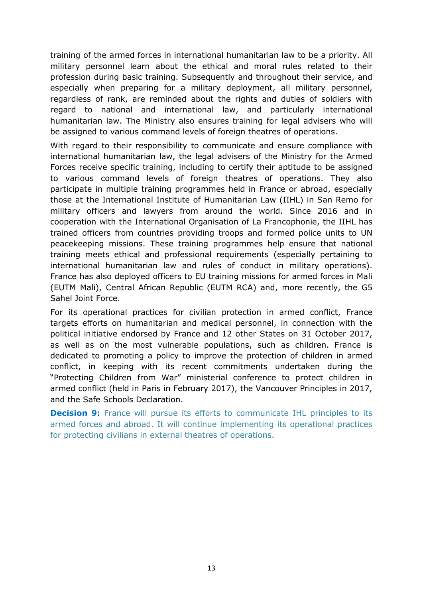training of the armed forces in international humanitarian law to be a priority. All military personnel learn about the ethical and moral rules related to their profession during basic training. Subsequently and throughout their service, and especially when preparing for a military deployment, all military personnel, regardless of rank, are reminded about the rights and duties of soldiers with regard to national and international law, and particularly international humanitarian law. The Ministry also ensures training for legal advisers who will be assigned to various command levels of foreign theatres of operations.

With regard to their responsibility to communicate and ensure compliance with international humanitarian law, the legal advisers of the Ministry for the Armed Forces receive specific training, including to certify their aptitude to be assigned to various command levels of foreign theatres of operations. They also participate in multiple training programmes held in France or abroad, especially those at the International Institute of Humanitarian Law (IIHL) in San Remo for military officers and lawyers from around the world. Since 2016 and in cooperation with the International Organisation of La Francophonie, the IIHL has trained officers from countries providing troops and formed police units to UN peacekeeping missions. These training programmes help ensure that national training meets ethical and professional requirements (especially pertaining to international humanitarian law and rules of conduct in military operations). France has also deployed officers to EU training missions for armed forces in Mali (EUTM Mali), Central African Republic (EUTM RCA) and, more recently, the G5 Sahel Joint Force.

For its operational practices for civilian protection in armed conflict, France targets efforts on humanitarian and medical personnel, in connection with the political initiative endorsed by France and 12 other States on 31 October 2017, as well as on the most vulnerable populations, such as children. France is dedicated to promoting a policy to improve the protection of children in armed conflict, in keeping with its recent commitments undertaken during the "Protecting Children from War" ministerial conference to protect children in armed conflict (held in Paris in February 2017), the Vancouver Principles in 2017, and the Safe Schools Declaration.

**Decision 9:** France will pursue its efforts to communicate IHL principles to its armed forces and abroad. It will continue implementing its operational practices for protecting civilians in external theatres of operations.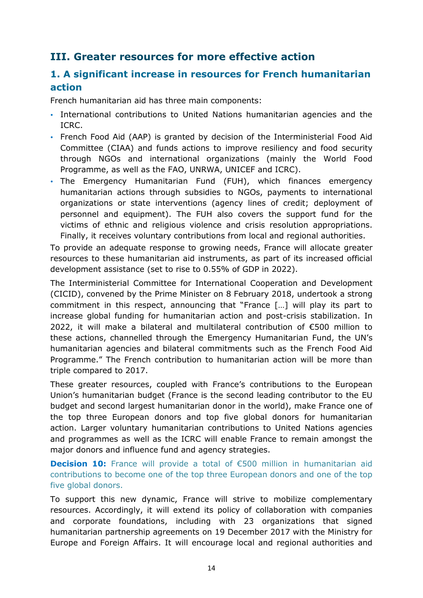# <span id="page-13-0"></span>**III. Greater resources for more effective action**

# <span id="page-13-1"></span>**1. A significant increase in resources for French humanitarian action**

French humanitarian aid has three main components:

- International contributions to United Nations humanitarian agencies and the ICRC.
- French Food Aid (AAP) is granted by decision of the Interministerial Food Aid Committee (CIAA) and funds actions to improve resiliency and food security through NGOs and international organizations (mainly the World Food Programme, as well as the FAO, UNRWA, UNICEF and ICRC).
- The Emergency Humanitarian Fund (FUH), which finances emergency humanitarian actions through subsidies to NGOs, payments to international organizations or state interventions (agency lines of credit; deployment of personnel and equipment). The FUH also covers the support fund for the victims of ethnic and religious violence and crisis resolution appropriations. Finally, it receives voluntary contributions from local and regional authorities.

To provide an adequate response to growing needs, France will allocate greater resources to these humanitarian aid instruments, as part of its increased official development assistance (set to rise to 0.55% of GDP in 2022).

The Interministerial Committee for International Cooperation and Development (CICID), convened by the Prime Minister on 8 February 2018, undertook a strong commitment in this respect, announcing that "France […] will play its part to increase global funding for humanitarian action and post-crisis stabilization. In 2022, it will make a bilateral and multilateral contribution of €500 million to these actions, channelled through the Emergency Humanitarian Fund, the UN's humanitarian agencies and bilateral commitments such as the French Food Aid Programme." The French contribution to humanitarian action will be more than triple compared to 2017.

These greater resources, coupled with France's contributions to the European Union's humanitarian budget (France is the second leading contributor to the EU budget and second largest humanitarian donor in the world), make France one of the top three European donors and top five global donors for humanitarian action. Larger voluntary humanitarian contributions to United Nations agencies and programmes as well as the ICRC will enable France to remain amongst the major donors and influence fund and agency strategies.

**Decision 10:** France will provide a total of €500 million in humanitarian aid contributions to become one of the top three European donors and one of the top five global donors.

To support this new dynamic, France will strive to mobilize complementary resources. Accordingly, it will extend its policy of collaboration with companies and corporate foundations, including with 23 organizations that signed humanitarian partnership agreements on 19 December 2017 with the Ministry for Europe and Foreign Affairs. It will encourage local and regional authorities and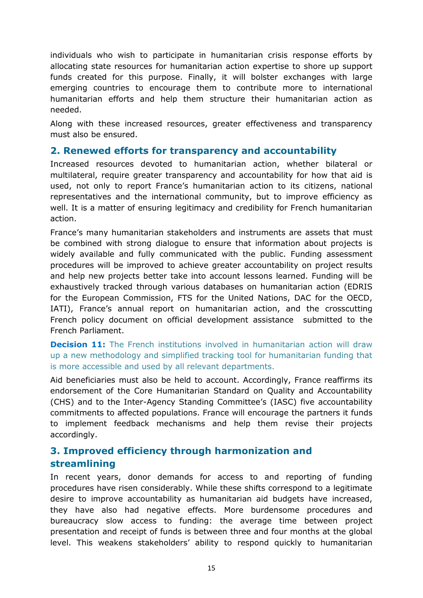individuals who wish to participate in humanitarian crisis response efforts by allocating state resources for humanitarian action expertise to shore up support funds created for this purpose. Finally, it will bolster exchanges with large emerging countries to encourage them to contribute more to international humanitarian efforts and help them structure their humanitarian action as needed.

Along with these increased resources, greater effectiveness and transparency must also be ensured.

#### <span id="page-14-0"></span>**2. Renewed efforts for transparency and accountability**

Increased resources devoted to humanitarian action, whether bilateral or multilateral, require greater transparency and accountability for how that aid is used, not only to report France's humanitarian action to its citizens, national representatives and the international community, but to improve efficiency as well. It is a matter of ensuring legitimacy and credibility for French humanitarian action.

France's many humanitarian stakeholders and instruments are assets that must be combined with strong dialogue to ensure that information about projects is widely available and fully communicated with the public. Funding assessment procedures will be improved to achieve greater accountability on project results and help new projects better take into account lessons learned. Funding will be exhaustively tracked through various databases on humanitarian action (EDRIS for the European Commission, FTS for the United Nations, DAC for the OECD, IATI), France's annual report on humanitarian action, and the crosscutting French policy document on official development assistance submitted to the French Parliament.

**Decision 11:** The French institutions involved in humanitarian action will draw up a new methodology and simplified tracking tool for humanitarian funding that is more accessible and used by all relevant departments.

Aid beneficiaries must also be held to account. Accordingly, France reaffirms its endorsement of the Core Humanitarian Standard on Quality and Accountability (CHS) and to the Inter-Agency Standing Committee's (IASC) five accountability commitments to affected populations. France will encourage the partners it funds to implement feedback mechanisms and help them revise their projects accordingly.

# <span id="page-14-1"></span>**3. Improved efficiency through harmonization and streamlining**

In recent years, donor demands for access to and reporting of funding procedures have risen considerably. While these shifts correspond to a legitimate desire to improve accountability as humanitarian aid budgets have increased, they have also had negative effects. More burdensome procedures and bureaucracy slow access to funding: the average time between project presentation and receipt of funds is between three and four months at the global level. This weakens stakeholders' ability to respond quickly to humanitarian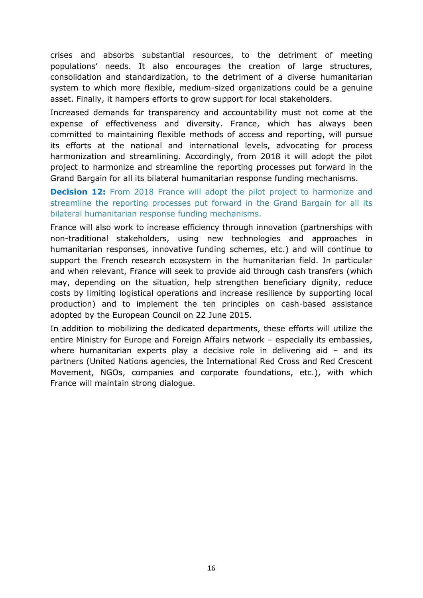crises and absorbs substantial resources, to the detriment of meeting populations' needs. It also encourages the creation of large structures, consolidation and standardization, to the detriment of a diverse humanitarian system to which more flexible, medium-sized organizations could be a genuine asset. Finally, it hampers efforts to grow support for local stakeholders.

Increased demands for transparency and accountability must not come at the expense of effectiveness and diversity. France, which has always been committed to maintaining flexible methods of access and reporting, will pursue its efforts at the national and international levels, advocating for process harmonization and streamlining. Accordingly, from 2018 it will adopt the pilot project to harmonize and streamline the reporting processes put forward in the Grand Bargain for all its bilateral humanitarian response funding mechanisms.

**Decision 12:** From 2018 France will adopt the pilot project to harmonize and streamline the reporting processes put forward in the Grand Bargain for all its bilateral humanitarian response funding mechanisms.

France will also work to increase efficiency through innovation (partnerships with non-traditional stakeholders, using new technologies and approaches in humanitarian responses, innovative funding schemes, etc.) and will continue to support the French research ecosystem in the humanitarian field. In particular and when relevant, France will seek to provide aid through cash transfers (which may, depending on the situation, help strengthen beneficiary dignity, reduce costs by limiting logistical operations and increase resilience by supporting local production) and to implement the ten principles on cash-based assistance adopted by the European Council on 22 June 2015.

In addition to mobilizing the dedicated departments, these efforts will utilize the entire Ministry for Europe and Foreign Affairs network – especially its embassies, where humanitarian experts play a decisive role in delivering aid – and its partners (United Nations agencies, the International Red Cross and Red Crescent Movement, NGOs, companies and corporate foundations, etc.), with which France will maintain strong dialogue.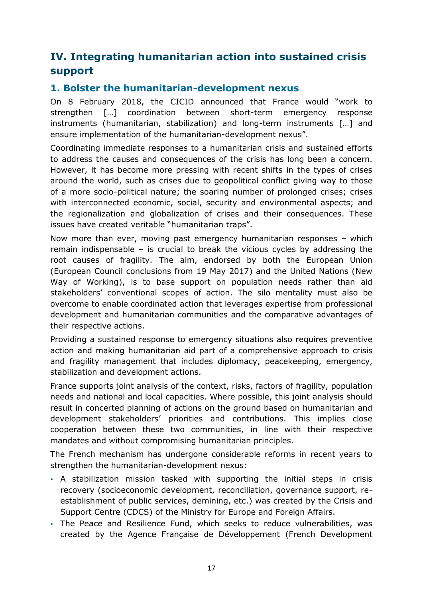# <span id="page-16-0"></span>**IV. Integrating humanitarian action into sustained crisis support**

#### <span id="page-16-1"></span>**1. Bolster the humanitarian-development nexus**

On 8 February 2018, the CICID announced that France would "work to strengthen […] coordination between short-term emergency response instruments (humanitarian, stabilization) and long-term instruments […] and ensure implementation of the humanitarian-development nexus".

Coordinating immediate responses to a humanitarian crisis and sustained efforts to address the causes and consequences of the crisis has long been a concern. However, it has become more pressing with recent shifts in the types of crises around the world, such as crises due to geopolitical conflict giving way to those of a more socio-political nature; the soaring number of prolonged crises; crises with interconnected economic, social, security and environmental aspects; and the regionalization and globalization of crises and their consequences. These issues have created veritable "humanitarian traps".

Now more than ever, moving past emergency humanitarian responses – which remain indispensable – is crucial to break the vicious cycles by addressing the root causes of fragility. The aim, endorsed by both the European Union (European Council conclusions from 19 May 2017) and the United Nations (New Way of Working), is to base support on population needs rather than aid stakeholders' conventional scopes of action. The silo mentality must also be overcome to enable coordinated action that leverages expertise from professional development and humanitarian communities and the comparative advantages of their respective actions.

Providing a sustained response to emergency situations also requires preventive action and making humanitarian aid part of a comprehensive approach to crisis and fragility management that includes diplomacy, peacekeeping, emergency, stabilization and development actions.

France supports joint analysis of the context, risks, factors of fragility, population needs and national and local capacities. Where possible, this joint analysis should result in concerted planning of actions on the ground based on humanitarian and development stakeholders' priorities and contributions. This implies close cooperation between these two communities, in line with their respective mandates and without compromising humanitarian principles.

The French mechanism has undergone considerable reforms in recent years to strengthen the humanitarian-development nexus:

- A stabilization mission tasked with supporting the initial steps in crisis recovery (socioeconomic development, reconciliation, governance support, reestablishment of public services, demining, etc.) was created by the Crisis and Support Centre (CDCS) of the Ministry for Europe and Foreign Affairs.
- The Peace and Resilience Fund, which seeks to reduce vulnerabilities, was created by the Agence Française de Développement (French Development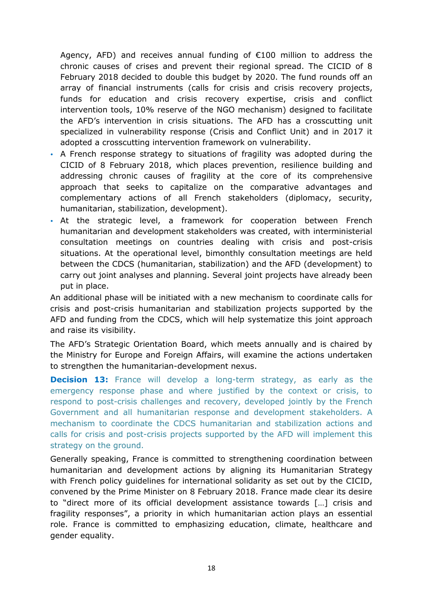Agency, AFD) and receives annual funding of  $E100$  million to address the chronic causes of crises and prevent their regional spread. The CICID of 8 February 2018 decided to double this budget by 2020. The fund rounds off an array of financial instruments (calls for crisis and crisis recovery projects, funds for education and crisis recovery expertise, crisis and conflict intervention tools, 10% reserve of the NGO mechanism) designed to facilitate the AFD's intervention in crisis situations. The AFD has a crosscutting unit specialized in vulnerability response (Crisis and Conflict Unit) and in 2017 it adopted a crosscutting intervention framework on vulnerability.

- A French response strategy to situations of fragility was adopted during the CICID of 8 February 2018, which places prevention, resilience building and addressing chronic causes of fragility at the core of its comprehensive approach that seeks to capitalize on the comparative advantages and complementary actions of all French stakeholders (diplomacy, security, humanitarian, stabilization, development).
- At the strategic level, a framework for cooperation between French humanitarian and development stakeholders was created, with interministerial consultation meetings on countries dealing with crisis and post-crisis situations. At the operational level, bimonthly consultation meetings are held between the CDCS (humanitarian, stabilization) and the AFD (development) to carry out joint analyses and planning. Several joint projects have already been put in place.

An additional phase will be initiated with a new mechanism to coordinate calls for crisis and post-crisis humanitarian and stabilization projects supported by the AFD and funding from the CDCS, which will help systematize this joint approach and raise its visibility.

The AFD's Strategic Orientation Board, which meets annually and is chaired by the Ministry for Europe and Foreign Affairs, will examine the actions undertaken to strengthen the humanitarian-development nexus.

**Decision 13:** France will develop a long-term strategy, as early as the emergency response phase and where justified by the context or crisis, to respond to post-crisis challenges and recovery, developed jointly by the French Government and all humanitarian response and development stakeholders. A mechanism to coordinate the CDCS humanitarian and stabilization actions and calls for crisis and post-crisis projects supported by the AFD will implement this strategy on the ground.

Generally speaking, France is committed to strengthening coordination between humanitarian and development actions by aligning its Humanitarian Strategy with French policy guidelines for international solidarity as set out by the CICID, convened by the Prime Minister on 8 February 2018. France made clear its desire to "direct more of its official development assistance towards […] crisis and fragility responses", a priority in which humanitarian action plays an essential role. France is committed to emphasizing education, climate, healthcare and gender equality.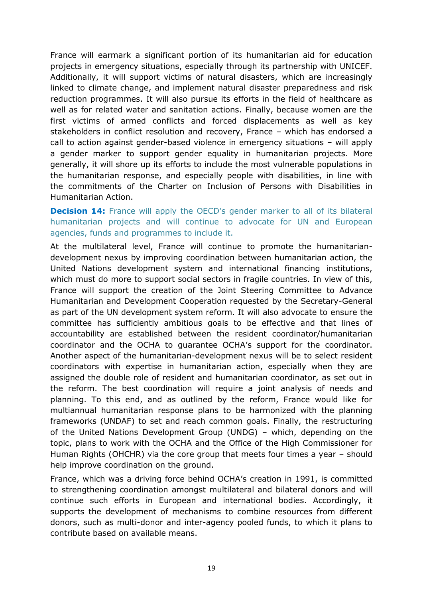France will earmark a significant portion of its humanitarian aid for education projects in emergency situations, especially through its partnership with UNICEF. Additionally, it will support victims of natural disasters, which are increasingly linked to climate change, and implement natural disaster preparedness and risk reduction programmes. It will also pursue its efforts in the field of healthcare as well as for related water and sanitation actions. Finally, because women are the first victims of armed conflicts and forced displacements as well as key stakeholders in conflict resolution and recovery, France – which has endorsed a call to action against gender-based violence in emergency situations – will apply a gender marker to support gender equality in humanitarian projects. More generally, it will shore up its efforts to include the most vulnerable populations in the humanitarian response, and especially people with disabilities, in line with the commitments of the Charter on Inclusion of Persons with Disabilities in Humanitarian Action.

**Decision 14:** France will apply the OECD's gender marker to all of its bilateral humanitarian projects and will continue to advocate for UN and European agencies, funds and programmes to include it.

At the multilateral level, France will continue to promote the humanitariandevelopment nexus by improving coordination between humanitarian action, the United Nations development system and international financing institutions, which must do more to support social sectors in fragile countries. In view of this, France will support the creation of the Joint Steering Committee to Advance Humanitarian and Development Cooperation requested by the Secretary-General as part of the UN development system reform. It will also advocate to ensure the committee has sufficiently ambitious goals to be effective and that lines of accountability are established between the resident coordinator/humanitarian coordinator and the OCHA to guarantee OCHA's support for the coordinator. Another aspect of the humanitarian-development nexus will be to select resident coordinators with expertise in humanitarian action, especially when they are assigned the double role of resident and humanitarian coordinator, as set out in the reform. The best coordination will require a joint analysis of needs and planning. To this end, and as outlined by the reform, France would like for multiannual humanitarian response plans to be harmonized with the planning frameworks (UNDAF) to set and reach common goals. Finally, the restructuring of the United Nations Development Group (UNDG) – which, depending on the topic, plans to work with the OCHA and the Office of the High Commissioner for Human Rights (OHCHR) via the core group that meets four times a year – should help improve coordination on the ground.

France, which was a driving force behind OCHA's creation in 1991, is committed to strengthening coordination amongst multilateral and bilateral donors and will continue such efforts in European and international bodies. Accordingly, it supports the development of mechanisms to combine resources from different donors, such as multi-donor and inter-agency pooled funds, to which it plans to contribute based on available means.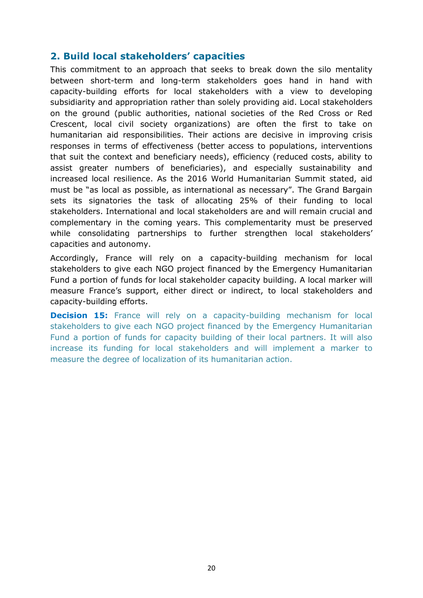#### <span id="page-19-0"></span>**2. Build local stakeholders' capacities**

This commitment to an approach that seeks to break down the silo mentality between short-term and long-term stakeholders goes hand in hand with capacity-building efforts for local stakeholders with a view to developing subsidiarity and appropriation rather than solely providing aid. Local stakeholders on the ground (public authorities, national societies of the Red Cross or Red Crescent, local civil society organizations) are often the first to take on humanitarian aid responsibilities. Their actions are decisive in improving crisis responses in terms of effectiveness (better access to populations, interventions that suit the context and beneficiary needs), efficiency (reduced costs, ability to assist greater numbers of beneficiaries), and especially sustainability and increased local resilience. As the 2016 World Humanitarian Summit stated, aid must be "as local as possible, as international as necessary". The Grand Bargain sets its signatories the task of allocating 25% of their funding to local stakeholders. International and local stakeholders are and will remain crucial and complementary in the coming years. This complementarity must be preserved while consolidating partnerships to further strengthen local stakeholders' capacities and autonomy.

Accordingly, France will rely on a capacity-building mechanism for local stakeholders to give each NGO project financed by the Emergency Humanitarian Fund a portion of funds for local stakeholder capacity building. A local marker will measure France's support, either direct or indirect, to local stakeholders and capacity-building efforts.

**Decision 15:** France will rely on a capacity-building mechanism for local stakeholders to give each NGO project financed by the Emergency Humanitarian Fund a portion of funds for capacity building of their local partners. It will also increase its funding for local stakeholders and will implement a marker to measure the degree of localization of its humanitarian action.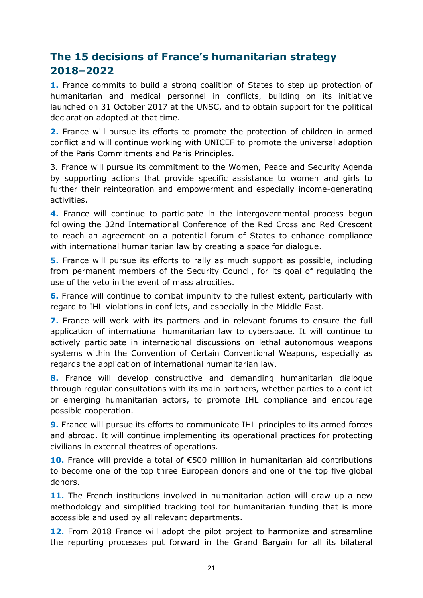# <span id="page-20-0"></span>**The 15 decisions of France's humanitarian strategy 2018–2022**

**1.** France commits to build a strong coalition of States to step up protection of humanitarian and medical personnel in conflicts, building on its initiative launched on 31 October 2017 at the UNSC, and to obtain support for the political declaration adopted at that time.

**2.** France will pursue its efforts to promote the protection of children in armed conflict and will continue working with UNICEF to promote the universal adoption of the Paris Commitments and Paris Principles.

3. France will pursue its commitment to the Women, Peace and Security Agenda by supporting actions that provide specific assistance to women and girls to further their reintegration and empowerment and especially income-generating activities.

**4.** France will continue to participate in the intergovernmental process begun following the 32nd International Conference of the Red Cross and Red Crescent to reach an agreement on a potential forum of States to enhance compliance with international humanitarian law by creating a space for dialogue.

**5.** France will pursue its efforts to rally as much support as possible, including from permanent members of the Security Council, for its goal of regulating the use of the veto in the event of mass atrocities.

**6.** France will continue to combat impunity to the fullest extent, particularly with regard to IHL violations in conflicts, and especially in the Middle East.

**7.** France will work with its partners and in relevant forums to ensure the full application of international humanitarian law to cyberspace. It will continue to actively participate in international discussions on lethal autonomous weapons systems within the Convention of Certain Conventional Weapons, especially as regards the application of international humanitarian law.

**8.** France will develop constructive and demanding humanitarian dialogue through regular consultations with its main partners, whether parties to a conflict or emerging humanitarian actors, to promote IHL compliance and encourage possible cooperation.

**9.** France will pursue its efforts to communicate IHL principles to its armed forces and abroad. It will continue implementing its operational practices for protecting civilians in external theatres of operations.

**10.** France will provide a total of €500 million in humanitarian aid contributions to become one of the top three European donors and one of the top five global donors.

**11.** The French institutions involved in humanitarian action will draw up a new methodology and simplified tracking tool for humanitarian funding that is more accessible and used by all relevant departments.

**12.** From 2018 France will adopt the pilot project to harmonize and streamline the reporting processes put forward in the Grand Bargain for all its bilateral